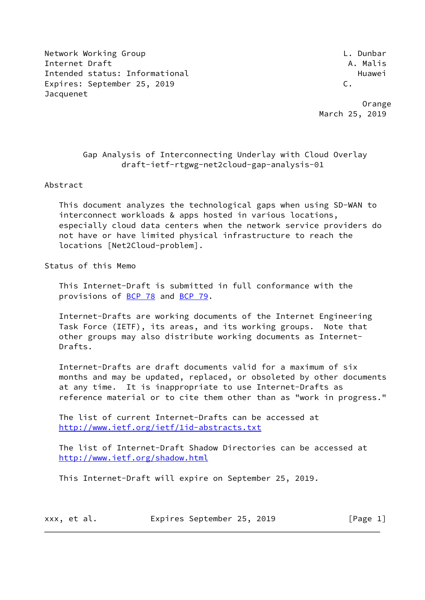Network Working Group L. Dunbar Internet Draft A. Malis Intended status: Informational example and the Huawei Huawei Expires: September 25, 2019 C. Jacquenet

 Orange March 25, 2019

# Gap Analysis of Interconnecting Underlay with Cloud Overlay draft-ietf-rtgwg-net2cloud-gap-analysis-01

### Abstract

 This document analyzes the technological gaps when using SD-WAN to interconnect workloads & apps hosted in various locations, especially cloud data centers when the network service providers do not have or have limited physical infrastructure to reach the locations [Net2Cloud-problem].

Status of this Memo

 This Internet-Draft is submitted in full conformance with the provisions of [BCP 78](https://datatracker.ietf.org/doc/pdf/bcp78) and [BCP 79](https://datatracker.ietf.org/doc/pdf/bcp79).

 Internet-Drafts are working documents of the Internet Engineering Task Force (IETF), its areas, and its working groups. Note that other groups may also distribute working documents as Internet- Drafts.

 Internet-Drafts are draft documents valid for a maximum of six months and may be updated, replaced, or obsoleted by other documents at any time. It is inappropriate to use Internet-Drafts as reference material or to cite them other than as "work in progress."

 The list of current Internet-Drafts can be accessed at <http://www.ietf.org/ietf/1id-abstracts.txt>

 The list of Internet-Draft Shadow Directories can be accessed at <http://www.ietf.org/shadow.html>

This Internet-Draft will expire on September 25, 2019.

| xxx, et al. | Expires September 25, 2019 |  | [Page 1] |
|-------------|----------------------------|--|----------|
|-------------|----------------------------|--|----------|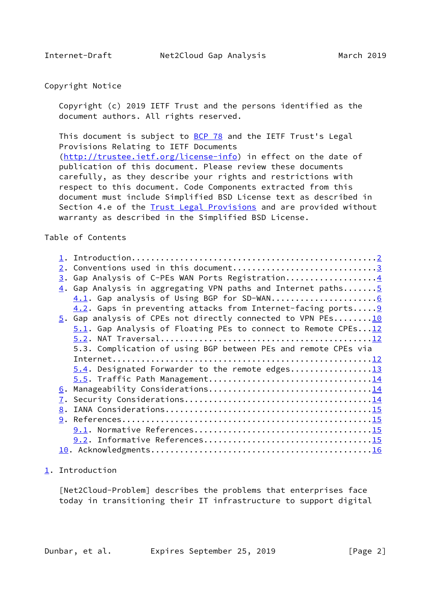## <span id="page-1-1"></span>Copyright Notice

 Copyright (c) 2019 IETF Trust and the persons identified as the document authors. All rights reserved.

This document is subject to **[BCP 78](https://datatracker.ietf.org/doc/pdf/bcp78)** and the IETF Trust's Legal Provisions Relating to IETF Documents [\(http://trustee.ietf.org/license-info](http://trustee.ietf.org/license-info)) in effect on the date of publication of this document. Please review these documents carefully, as they describe your rights and restrictions with respect to this document. Code Components extracted from this document must include Simplified BSD License text as described in Section 4.e of the [Trust Legal Provisions](https://trustee.ietf.org/license-info) and are provided without warranty as described in the Simplified BSD License.

# Table of Contents

|    | 2. Conventions used in this document3                                      |
|----|----------------------------------------------------------------------------|
|    | 3. Gap Analysis of C-PEs WAN Ports Registration4                           |
|    | 4. Gap Analysis in aggregating VPN paths and Internet paths 5              |
|    |                                                                            |
|    | 4.2. Gaps in preventing attacks from Internet-facing ports 9               |
|    | $\underline{5}$ . Gap analysis of CPEs not directly connected to VPN PEs10 |
|    | $5.1$ . Gap Analysis of Floating PEs to connect to Remote CPEs $12$        |
|    |                                                                            |
|    | 5.3. Complication of using BGP between PEs and remote CPEs via             |
|    |                                                                            |
|    |                                                                            |
|    | 5.4. Designated Forwarder to the remote edges13                            |
|    |                                                                            |
|    |                                                                            |
|    |                                                                            |
| 8. |                                                                            |
|    |                                                                            |
|    |                                                                            |
|    |                                                                            |
|    |                                                                            |
|    |                                                                            |

<span id="page-1-0"></span>[1](#page-1-0). Introduction

 [Net2Cloud-Problem] describes the problems that enterprises face today in transitioning their IT infrastructure to support digital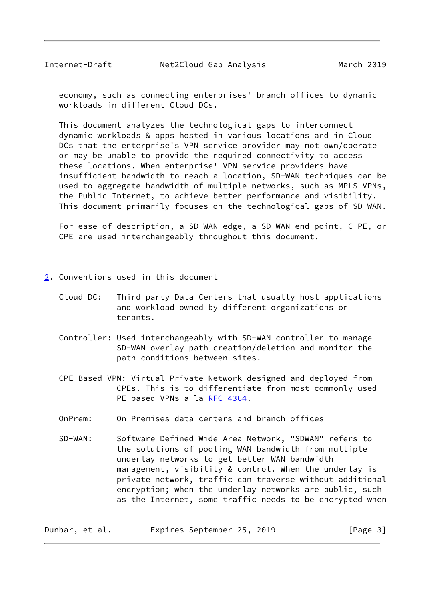<span id="page-2-1"></span> economy, such as connecting enterprises' branch offices to dynamic workloads in different Cloud DCs.

 This document analyzes the technological gaps to interconnect dynamic workloads & apps hosted in various locations and in Cloud DCs that the enterprise's VPN service provider may not own/operate or may be unable to provide the required connectivity to access these locations. When enterprise' VPN service providers have insufficient bandwidth to reach a location, SD-WAN techniques can be used to aggregate bandwidth of multiple networks, such as MPLS VPNs, the Public Internet, to achieve better performance and visibility. This document primarily focuses on the technological gaps of SD-WAN.

 For ease of description, a SD-WAN edge, a SD-WAN end-point, C-PE, or CPE are used interchangeably throughout this document.

- <span id="page-2-0"></span>[2](#page-2-0). Conventions used in this document
	- Cloud DC: Third party Data Centers that usually host applications and workload owned by different organizations or tenants.
	- Controller: Used interchangeably with SD-WAN controller to manage SD-WAN overlay path creation/deletion and monitor the path conditions between sites.
	- CPE-Based VPN: Virtual Private Network designed and deployed from CPEs. This is to differentiate from most commonly used PE-based VPNs a la [RFC 4364.](https://datatracker.ietf.org/doc/pdf/rfc4364)
	- OnPrem: On Premises data centers and branch offices
	- SD-WAN: Software Defined Wide Area Network, "SDWAN" refers to the solutions of pooling WAN bandwidth from multiple underlay networks to get better WAN bandwidth management, visibility & control. When the underlay is private network, traffic can traverse without additional encryption; when the underlay networks are public, such as the Internet, some traffic needs to be encrypted when

Dunbar, et al. Expires September 25, 2019 [Page 3]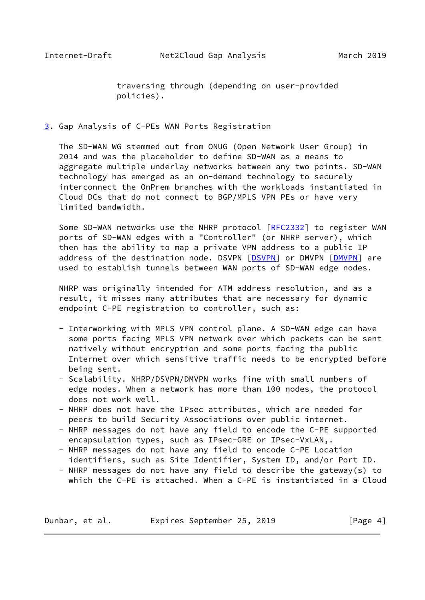traversing through (depending on user-provided policies).

### <span id="page-3-1"></span><span id="page-3-0"></span>[3](#page-3-0). Gap Analysis of C-PEs WAN Ports Registration

 The SD-WAN WG stemmed out from ONUG (Open Network User Group) in 2014 and was the placeholder to define SD-WAN as a means to aggregate multiple underlay networks between any two points. SD-WAN technology has emerged as an on-demand technology to securely interconnect the OnPrem branches with the workloads instantiated in Cloud DCs that do not connect to BGP/MPLS VPN PEs or have very limited bandwidth.

Some SD-WAN networks use the NHRP protocol [[RFC2332\]](https://datatracker.ietf.org/doc/pdf/rfc2332) to register WAN ports of SD-WAN edges with a "Controller" (or NHRP server), which then has the ability to map a private VPN address to a public IP address of the destination node. DSVPN [\[DSVPN](#page-15-2)] or DMVPN [\[DMVPN](#page-15-3)] are used to establish tunnels between WAN ports of SD-WAN edge nodes.

 NHRP was originally intended for ATM address resolution, and as a result, it misses many attributes that are necessary for dynamic endpoint C-PE registration to controller, such as:

- Interworking with MPLS VPN control plane. A SD-WAN edge can have some ports facing MPLS VPN network over which packets can be sent natively without encryption and some ports facing the public Internet over which sensitive traffic needs to be encrypted before being sent.
- Scalability. NHRP/DSVPN/DMVPN works fine with small numbers of edge nodes. When a network has more than 100 nodes, the protocol does not work well.
- NHRP does not have the IPsec attributes, which are needed for peers to build Security Associations over public internet.
- NHRP messages do not have any field to encode the C-PE supported encapsulation types, such as IPsec-GRE or IPsec-VxLAN,.
- NHRP messages do not have any field to encode C-PE Location identifiers, such as Site Identifier, System ID, and/or Port ID.
- NHRP messages do not have any field to describe the gateway(s) to which the C-PE is attached. When a C-PE is instantiated in a Cloud

Dunbar, et al. Expires September 25, 2019 [Page 4]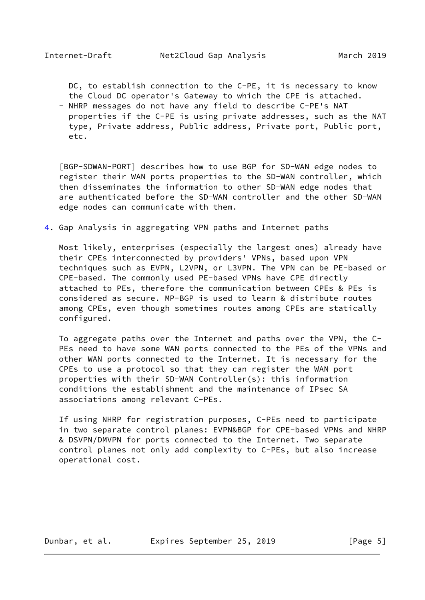<span id="page-4-1"></span> DC, to establish connection to the C-PE, it is necessary to know the Cloud DC operator's Gateway to which the CPE is attached.

 - NHRP messages do not have any field to describe C-PE's NAT properties if the C-PE is using private addresses, such as the NAT type, Private address, Public address, Private port, Public port, etc.

<span id="page-4-2"></span> [BGP-SDWAN-PORT] describes how to use BGP for SD-WAN edge nodes to register their WAN ports properties to the SD-WAN controller, which then disseminates the information to other SD-WAN edge nodes that are authenticated before the SD-WAN controller and the other SD-WAN edge nodes can communicate with them.

<span id="page-4-0"></span>[4](#page-4-0). Gap Analysis in aggregating VPN paths and Internet paths

 Most likely, enterprises (especially the largest ones) already have their CPEs interconnected by providers' VPNs, based upon VPN techniques such as EVPN, L2VPN, or L3VPN. The VPN can be PE-based or CPE-based. The commonly used PE-based VPNs have CPE directly attached to PEs, therefore the communication between CPEs & PEs is considered as secure. MP-BGP is used to learn & distribute routes among CPEs, even though sometimes routes among CPEs are statically configured.

 To aggregate paths over the Internet and paths over the VPN, the C- PEs need to have some WAN ports connected to the PEs of the VPNs and other WAN ports connected to the Internet. It is necessary for the CPEs to use a protocol so that they can register the WAN port properties with their SD-WAN Controller(s): this information conditions the establishment and the maintenance of IPsec SA associations among relevant C-PEs.

 If using NHRP for registration purposes, C-PEs need to participate in two separate control planes: EVPN&BGP for CPE-based VPNs and NHRP & DSVPN/DMVPN for ports connected to the Internet. Two separate control planes not only add complexity to C-PEs, but also increase operational cost.

Dunbar, et al. Expires September 25, 2019 [Page 5]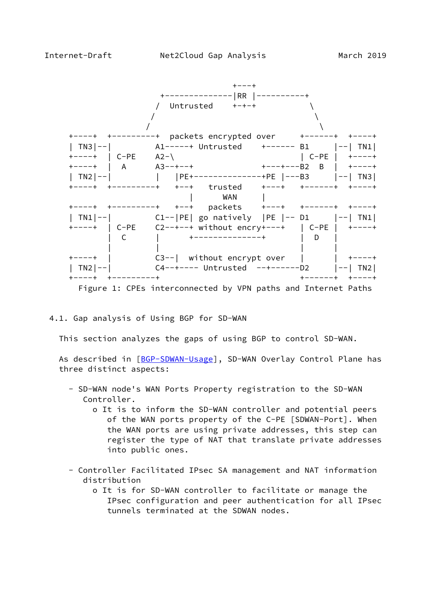<span id="page-5-0"></span>

4.1. Gap analysis of Using BGP for SD-WAN

This section analyzes the gaps of using BGP to control SD-WAN.

As described in [\[BGP-SDWAN-Usage](#page-14-3)], SD-WAN Overlay Control Plane has three distinct aspects:

- SD-WAN node's WAN Ports Property registration to the SD-WAN Controller.
	- o It is to inform the SD-WAN controller and potential peers of the WAN ports property of the C-PE [SDWAN-Port]. When the WAN ports are using private addresses, this step can register the type of NAT that translate private addresses into public ones.
- Controller Facilitated IPsec SA management and NAT information distribution
	- o It is for SD-WAN controller to facilitate or manage the IPsec configuration and peer authentication for all IPsec tunnels terminated at the SDWAN nodes.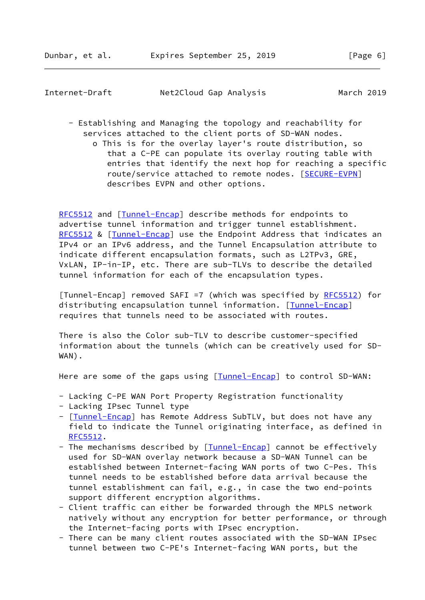Internet-Draft Net2Cloud Gap Analysis March 2019

 - Establishing and Managing the topology and reachability for services attached to the client ports of SD-WAN nodes. o This is for the overlay layer's route distribution, so that a C-PE can populate its overlay routing table with entries that identify the next hop for reaching a specific route/service attached to remote nodes. [[SECURE-EVPN](#page-8-1)] describes EVPN and other options.

[RFC5512](https://datatracker.ietf.org/doc/pdf/rfc5512) and [\[Tunnel-Encap](#page-6-0)] describe methods for endpoints to advertise tunnel information and trigger tunnel establishment. [RFC5512](https://datatracker.ietf.org/doc/pdf/rfc5512) & [[Tunnel-Encap\]](#page-6-0) use the Endpoint Address that indicates an IPv4 or an IPv6 address, and the Tunnel Encapsulation attribute to indicate different encapsulation formats, such as L2TPv3, GRE, VxLAN, IP-in-IP, etc. There are sub-TLVs to describe the detailed tunnel information for each of the encapsulation types.

<span id="page-6-0"></span>[Tunnel-Encap] removed SAFI =7 (which was specified by [RFC5512](https://datatracker.ietf.org/doc/pdf/rfc5512)) for distributing encapsulation tunnel information. [\[Tunnel-Encap](#page-6-0)] requires that tunnels need to be associated with routes.

 There is also the Color sub-TLV to describe customer-specified information about the tunnels (which can be creatively used for SD- WAN).

Here are some of the gaps using [\[Tunnel-Encap](#page-6-0)] to control SD-WAN:

- Lacking C-PE WAN Port Property Registration functionality
- Lacking IPsec Tunnel type
- [[Tunnel-Encap\]](#page-6-0) has Remote Address SubTLV, but does not have any field to indicate the Tunnel originating interface, as defined in [RFC5512](https://datatracker.ietf.org/doc/pdf/rfc5512).
- The mechanisms described by [[Tunnel-Encap\]](#page-6-0) cannot be effectively used for SD-WAN overlay network because a SD-WAN Tunnel can be established between Internet-facing WAN ports of two C-Pes. This tunnel needs to be established before data arrival because the tunnel establishment can fail, e.g., in case the two end-points support different encryption algorithms.
- Client traffic can either be forwarded through the MPLS network natively without any encryption for better performance, or through the Internet-facing ports with IPsec encryption.
- There can be many client routes associated with the SD-WAN IPsec tunnel between two C-PE's Internet-facing WAN ports, but the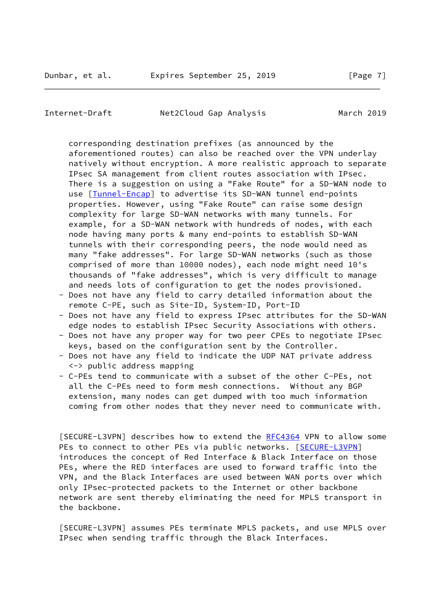Internet-Draft Met2Cloud Gap Analysis March 2019

 corresponding destination prefixes (as announced by the aforementioned routes) can also be reached over the VPN underlay natively without encryption. A more realistic approach to separate IPsec SA management from client routes association with IPsec. There is a suggestion on using a "Fake Route" for a SD-WAN node to use [[Tunnel-Encap\]](#page-6-0) to advertise its SD-WAN tunnel end-points properties. However, using "Fake Route" can raise some design complexity for large SD-WAN networks with many tunnels. For example, for a SD-WAN network with hundreds of nodes, with each node having many ports & many end-points to establish SD-WAN tunnels with their corresponding peers, the node would need as many "fake addresses". For large SD-WAN networks (such as those comprised of more than 10000 nodes), each node might need 10's thousands of "fake addresses", which is very difficult to manage and needs lots of configuration to get the nodes provisioned.

- Does not have any field to carry detailed information about the remote C-PE, such as Site-ID, System-ID, Port-ID
- Does not have any field to express IPsec attributes for the SD-WAN edge nodes to establish IPsec Security Associations with others.
- Does not have any proper way for two peer CPEs to negotiate IPsec keys, based on the configuration sent by the Controller.
- Does not have any field to indicate the UDP NAT private address <-> public address mapping
- C-PEs tend to communicate with a subset of the other C-PEs, not all the C-PEs need to form mesh connections. Without any BGP extension, many nodes can get dumped with too much information coming from other nodes that they never need to communicate with.

<span id="page-7-0"></span>[SECURE-L3VPN] describes how to extend the [RFC4364](https://datatracker.ietf.org/doc/pdf/rfc4364) VPN to allow some PEs to connect to other PEs via public networks. [\[SECURE-L3VPN](#page-7-0)] introduces the concept of Red Interface & Black Interface on those PEs, where the RED interfaces are used to forward traffic into the VPN, and the Black Interfaces are used between WAN ports over which only IPsec-protected packets to the Internet or other backbone network are sent thereby eliminating the need for MPLS transport in the backbone.

 [SECURE-L3VPN] assumes PEs terminate MPLS packets, and use MPLS over IPsec when sending traffic through the Black Interfaces.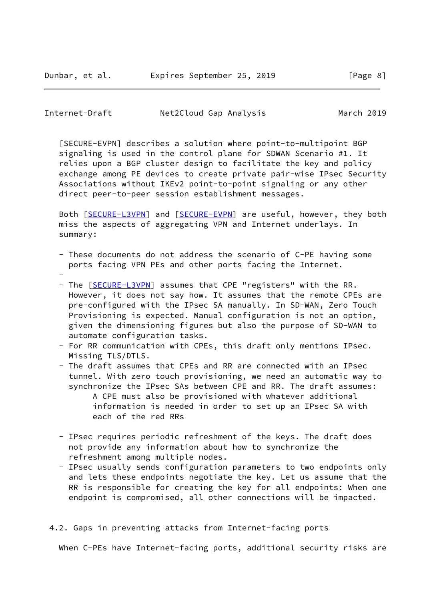<span id="page-8-0"></span>Internet-Draft Met2Cloud Gap Analysis March 2019

<span id="page-8-1"></span> [SECURE-EVPN] describes a solution where point-to-multipoint BGP signaling is used in the control plane for SDWAN Scenario #1. It relies upon a BGP cluster design to facilitate the key and policy exchange among PE devices to create private pair-wise IPsec Security Associations without IKEv2 point-to-point signaling or any other direct peer-to-peer session establishment messages.

Both [\[SECURE-L3VPN](#page-7-0)] and [\[SECURE-EVPN](#page-8-1)] are useful, however, they both miss the aspects of aggregating VPN and Internet underlays. In summary:

- These documents do not address the scenario of C-PE having some ports facing VPN PEs and other ports facing the Internet.
- - The [[SECURE-L3VPN\]](#page-7-0) assumes that CPE "registers" with the RR. However, it does not say how. It assumes that the remote CPEs are pre-configured with the IPsec SA manually. In SD-WAN, Zero Touch Provisioning is expected. Manual configuration is not an option, given the dimensioning figures but also the purpose of SD-WAN to automate configuration tasks.
	- For RR communication with CPEs, this draft only mentions IPsec. Missing TLS/DTLS.
	- The draft assumes that CPEs and RR are connected with an IPsec tunnel. With zero touch provisioning, we need an automatic way to synchronize the IPsec SAs between CPE and RR. The draft assumes: A CPE must also be provisioned with whatever additional information is needed in order to set up an IPsec SA with each of the red RRs
	- IPsec requires periodic refreshment of the keys. The draft does not provide any information about how to synchronize the refreshment among multiple nodes.
	- IPsec usually sends configuration parameters to two endpoints only and lets these endpoints negotiate the key. Let us assume that the RR is responsible for creating the key for all endpoints: When one endpoint is compromised, all other connections will be impacted.
- 4.2. Gaps in preventing attacks from Internet-facing ports

When C-PEs have Internet-facing ports, additional security risks are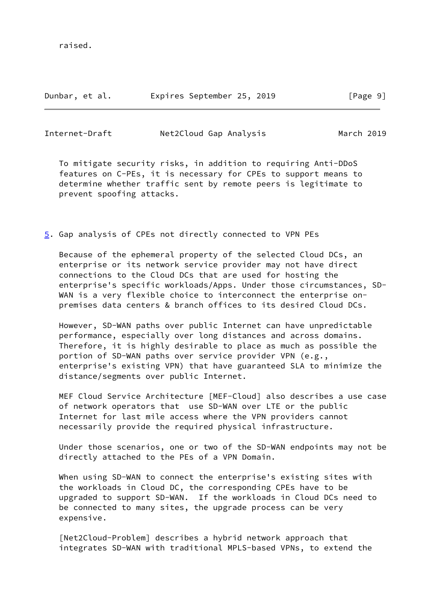raised.

Dunbar, et al. Expires September 25, 2019 [Page 9]

<span id="page-9-1"></span>Internet-Draft Net2Cloud Gap Analysis March 2019

 To mitigate security risks, in addition to requiring Anti-DDoS features on C-PEs, it is necessary for CPEs to support means to determine whether traffic sent by remote peers is legitimate to prevent spoofing attacks.

<span id="page-9-0"></span>[5](#page-9-0). Gap analysis of CPEs not directly connected to VPN PEs

 Because of the ephemeral property of the selected Cloud DCs, an enterprise or its network service provider may not have direct connections to the Cloud DCs that are used for hosting the enterprise's specific workloads/Apps. Under those circumstances, SD- WAN is a very flexible choice to interconnect the enterprise onpremises data centers & branch offices to its desired Cloud DCs.

 However, SD-WAN paths over public Internet can have unpredictable performance, especially over long distances and across domains. Therefore, it is highly desirable to place as much as possible the portion of SD-WAN paths over service provider VPN (e.g., enterprise's existing VPN) that have guaranteed SLA to minimize the distance/segments over public Internet.

 MEF Cloud Service Architecture [MEF-Cloud] also describes a use case of network operators that use SD-WAN over LTE or the public Internet for last mile access where the VPN providers cannot necessarily provide the required physical infrastructure.

 Under those scenarios, one or two of the SD-WAN endpoints may not be directly attached to the PEs of a VPN Domain.

 When using SD-WAN to connect the enterprise's existing sites with the workloads in Cloud DC, the corresponding CPEs have to be upgraded to support SD-WAN. If the workloads in Cloud DCs need to be connected to many sites, the upgrade process can be very expensive.

 [Net2Cloud-Problem] describes a hybrid network approach that integrates SD-WAN with traditional MPLS-based VPNs, to extend the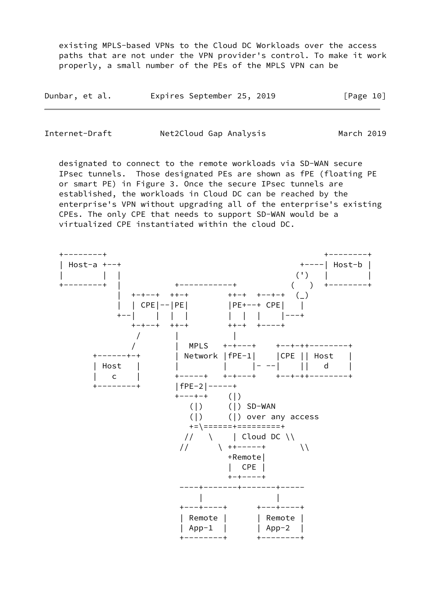existing MPLS-based VPNs to the Cloud DC Workloads over the access paths that are not under the VPN provider's control. To make it work properly, a small number of the PEs of the MPLS VPN can be

| Dunbar, et al. | Expires September 25, 2019 | [Page 10] |
|----------------|----------------------------|-----------|
|----------------|----------------------------|-----------|

| Internet-Draft | Net2Cloud Gap Analysis | March 2019 |
|----------------|------------------------|------------|
|                |                        |            |

 designated to connect to the remote workloads via SD-WAN secure IPsec tunnels. Those designated PEs are shown as fPE (floating PE or smart PE) in Figure 3. Once the secure IPsec tunnels are established, the workloads in Cloud DC can be reached by the enterprise's VPN without upgrading all of the enterprise's existing CPEs. The only CPE that needs to support SD-WAN would be a virtualized CPE instantiated within the cloud DC.

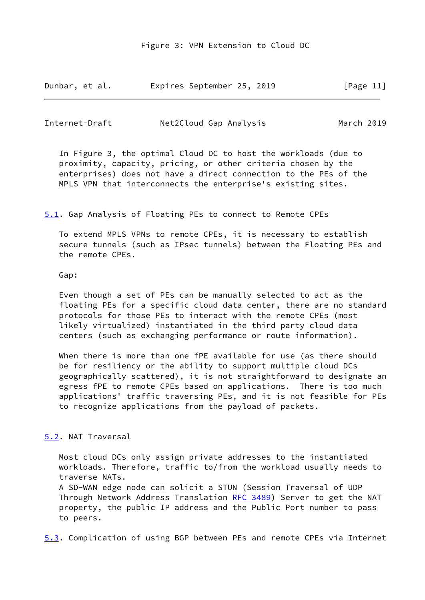| Dunbar, et al. | Expires September 25, 2019 | [Page 11] |
|----------------|----------------------------|-----------|
|----------------|----------------------------|-----------|

<span id="page-11-1"></span>Internet-Draft Met2Cloud Gap Analysis March 2019

 In Figure 3, the optimal Cloud DC to host the workloads (due to proximity, capacity, pricing, or other criteria chosen by the enterprises) does not have a direct connection to the PEs of the MPLS VPN that interconnects the enterprise's existing sites.

<span id="page-11-0"></span>[5.1](#page-11-0). Gap Analysis of Floating PEs to connect to Remote CPEs

 To extend MPLS VPNs to remote CPEs, it is necessary to establish secure tunnels (such as IPsec tunnels) between the Floating PEs and the remote CPEs.

Gap:

 Even though a set of PEs can be manually selected to act as the floating PEs for a specific cloud data center, there are no standard protocols for those PEs to interact with the remote CPEs (most likely virtualized) instantiated in the third party cloud data centers (such as exchanging performance or route information).

 When there is more than one fPE available for use (as there should be for resiliency or the ability to support multiple cloud DCs geographically scattered), it is not straightforward to designate an egress fPE to remote CPEs based on applications. There is too much applications' traffic traversing PEs, and it is not feasible for PEs to recognize applications from the payload of packets.

## <span id="page-11-2"></span>[5.2](#page-11-2). NAT Traversal

 Most cloud DCs only assign private addresses to the instantiated workloads. Therefore, traffic to/from the workload usually needs to traverse NATs.

 A SD-WAN edge node can solicit a STUN (Session Traversal of UDP Through Network Address Translation [RFC 3489\)](https://datatracker.ietf.org/doc/pdf/rfc3489) Server to get the NAT property, the public IP address and the Public Port number to pass to peers.

<span id="page-11-3"></span>[5.3](#page-11-3). Complication of using BGP between PEs and remote CPEs via Internet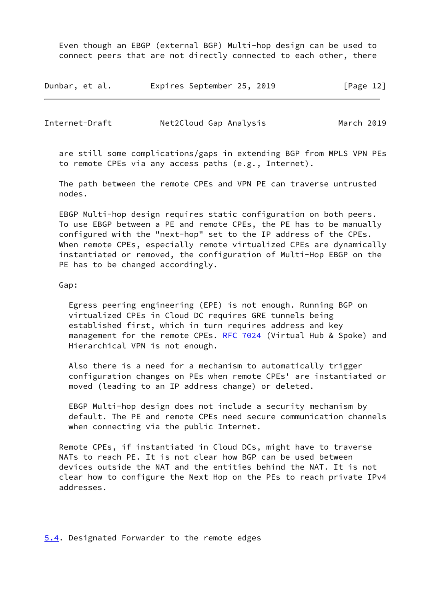Even though an EBGP (external BGP) Multi-hop design can be used to connect peers that are not directly connected to each other, there

| Dunbar, et al. | Expires September 25, 2019 | [Page 12] |
|----------------|----------------------------|-----------|
|----------------|----------------------------|-----------|

<span id="page-12-1"></span>Internet-Draft Met2Cloud Gap Analysis March 2019

 are still some complications/gaps in extending BGP from MPLS VPN PEs to remote CPEs via any access paths (e.g., Internet).

 The path between the remote CPEs and VPN PE can traverse untrusted nodes.

 EBGP Multi-hop design requires static configuration on both peers. To use EBGP between a PE and remote CPEs, the PE has to be manually configured with the "next-hop" set to the IP address of the CPEs. When remote CPEs, especially remote virtualized CPEs are dynamically instantiated or removed, the configuration of Multi-Hop EBGP on the PE has to be changed accordingly.

Gap:

 Egress peering engineering (EPE) is not enough. Running BGP on virtualized CPEs in Cloud DC requires GRE tunnels being established first, which in turn requires address and key management for the remote CPEs. [RFC 7024](https://datatracker.ietf.org/doc/pdf/rfc7024) (Virtual Hub & Spoke) and Hierarchical VPN is not enough.

 Also there is a need for a mechanism to automatically trigger configuration changes on PEs when remote CPEs' are instantiated or moved (leading to an IP address change) or deleted.

 EBGP Multi-hop design does not include a security mechanism by default. The PE and remote CPEs need secure communication channels when connecting via the public Internet.

 Remote CPEs, if instantiated in Cloud DCs, might have to traverse NATs to reach PE. It is not clear how BGP can be used between devices outside the NAT and the entities behind the NAT. It is not clear how to configure the Next Hop on the PEs to reach private IPv4 addresses.

<span id="page-12-0"></span>[5.4](#page-12-0). Designated Forwarder to the remote edges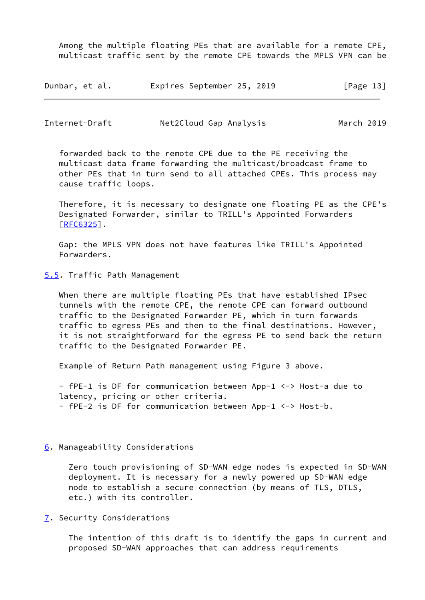Among the multiple floating PEs that are available for a remote CPE, multicast traffic sent by the remote CPE towards the MPLS VPN can be

| Dunbar, et al. | Expires September 25, 2019 | [Page 13] |
|----------------|----------------------------|-----------|
|----------------|----------------------------|-----------|

<span id="page-13-1"></span>Internet-Draft Met2Cloud Gap Analysis March 2019

 forwarded back to the remote CPE due to the PE receiving the multicast data frame forwarding the multicast/broadcast frame to other PEs that in turn send to all attached CPEs. This process may cause traffic loops.

 Therefore, it is necessary to designate one floating PE as the CPE's Designated Forwarder, similar to TRILL's Appointed Forwarders [\[RFC6325](https://datatracker.ietf.org/doc/pdf/rfc6325)].

 Gap: the MPLS VPN does not have features like TRILL's Appointed Forwarders.

<span id="page-13-0"></span>[5.5](#page-13-0). Traffic Path Management

 When there are multiple floating PEs that have established IPsec tunnels with the remote CPE, the remote CPE can forward outbound traffic to the Designated Forwarder PE, which in turn forwards traffic to egress PEs and then to the final destinations. However, it is not straightforward for the egress PE to send back the return traffic to the Designated Forwarder PE.

Example of Return Path management using Figure 3 above.

 - fPE-1 is DF for communication between App-1 <-> Host-a due to latency, pricing or other criteria. - fPE-2 is DF for communication between App-1 <-> Host-b.

<span id="page-13-2"></span>[6](#page-13-2). Manageability Considerations

 Zero touch provisioning of SD-WAN edge nodes is expected in SD-WAN deployment. It is necessary for a newly powered up SD-WAN edge node to establish a secure connection (by means of TLS, DTLS, etc.) with its controller.

<span id="page-13-3"></span>[7](#page-13-3). Security Considerations

 The intention of this draft is to identify the gaps in current and proposed SD-WAN approaches that can address requirements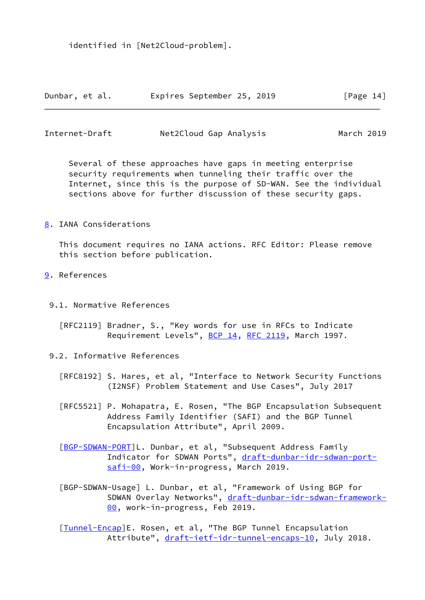identified in [Net2Cloud-problem].

| Dunbar, et al. | Expires September 25, 2019 | [Page 14] |
|----------------|----------------------------|-----------|
|----------------|----------------------------|-----------|

<span id="page-14-1"></span>Internet-Draft Net2Cloud Gap Analysis March 2019

 Several of these approaches have gaps in meeting enterprise security requirements when tunneling their traffic over the Internet, since this is the purpose of SD-WAN. See the individual sections above for further discussion of these security gaps.

<span id="page-14-0"></span>[8](#page-14-0). IANA Considerations

 This document requires no IANA actions. RFC Editor: Please remove this section before publication.

- <span id="page-14-2"></span>[9](#page-14-2). References
	- 9.1. Normative References
		- [RFC2119] Bradner, S., "Key words for use in RFCs to Indicate Requirement Levels", [BCP 14](https://datatracker.ietf.org/doc/pdf/bcp14), [RFC 2119,](https://datatracker.ietf.org/doc/pdf/rfc2119) March 1997.
	- 9.2. Informative References
		- [RFC8192] S. Hares, et al, "Interface to Network Security Functions (I2NSF) Problem Statement and Use Cases", July 2017
		- [RFC5521] P. Mohapatra, E. Rosen, "The BGP Encapsulation Subsequent Address Family Identifier (SAFI) and the BGP Tunnel Encapsulation Attribute", April 2009.
		- [\[BGP-SDWAN-PORT](#page-4-2)]L. Dunbar, et al, "Subsequent Address Family Indicator for SDWAN Ports", [draft-dunbar-idr-sdwan-port](https://datatracker.ietf.org/doc/pdf/draft-dunbar-idr-sdwan-port-safi-00) [safi-00](https://datatracker.ietf.org/doc/pdf/draft-dunbar-idr-sdwan-port-safi-00), Work-in-progress, March 2019.
		- [BGP-SDWAN-Usage] L. Dunbar, et al, "Framework of Using BGP for SDWAN Overlay Networks", [draft-dunbar-idr-sdwan-framework-](https://datatracker.ietf.org/doc/pdf/draft-dunbar-idr-sdwan-framework-00) [00,](https://datatracker.ietf.org/doc/pdf/draft-dunbar-idr-sdwan-framework-00) work-in-progress, Feb 2019.

<span id="page-14-3"></span>[\[Tunnel-Encap](#page-6-0)]E. Rosen, et al, "The BGP Tunnel Encapsulation Attribute", [draft-ietf-idr-tunnel-encaps-10](https://datatracker.ietf.org/doc/pdf/draft-ietf-idr-tunnel-encaps-10), July 2018.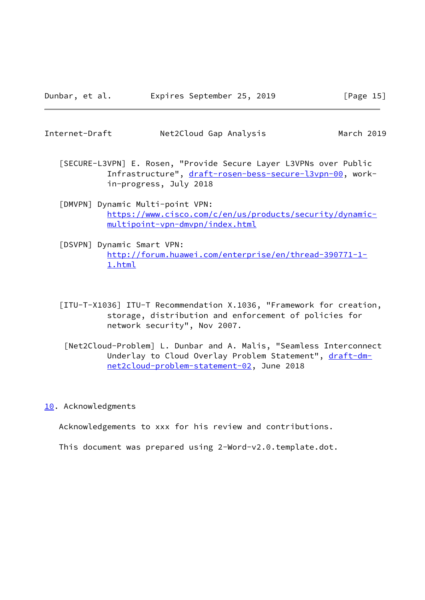<span id="page-15-1"></span>

March 2019

- [SECURE-L3VPN] E. Rosen, "Provide Secure Layer L3VPNs over Public Infrastructure", [draft-rosen-bess-secure-l3vpn-00,](https://datatracker.ietf.org/doc/pdf/draft-rosen-bess-secure-l3vpn-00) work in-progress, July 2018
- <span id="page-15-3"></span> [DMVPN] Dynamic Multi-point VPN: [https://www.cisco.com/c/en/us/products/security/dynamic](https://www.cisco.com/c/en/us/products/security/dynamic-multipoint-vpn-dmvpn/index.html) [multipoint-vpn-dmvpn/index.html](https://www.cisco.com/c/en/us/products/security/dynamic-multipoint-vpn-dmvpn/index.html)
- <span id="page-15-2"></span> [DSVPN] Dynamic Smart VPN: [http://forum.huawei.com/enterprise/en/thread-390771-1-](http://forum.huawei.com/enterprise/en/thread-390771-1-1.html) [1.html](http://forum.huawei.com/enterprise/en/thread-390771-1-1.html)
- [ITU-T-X1036] ITU-T Recommendation X.1036, "Framework for creation, storage, distribution and enforcement of policies for network security", Nov 2007.
	- [Net2Cloud-Problem] L. Dunbar and A. Malis, "Seamless Interconnect Underlay to Cloud Overlay Problem Statement", [draft-dm](https://datatracker.ietf.org/doc/pdf/draft-dm-net2cloud-problem-statement-02) [net2cloud-problem-statement-02](https://datatracker.ietf.org/doc/pdf/draft-dm-net2cloud-problem-statement-02), June 2018

### <span id="page-15-0"></span>[10.](#page-15-0) Acknowledgments

Acknowledgements to xxx for his review and contributions.

This document was prepared using 2-Word-v2.0.template.dot.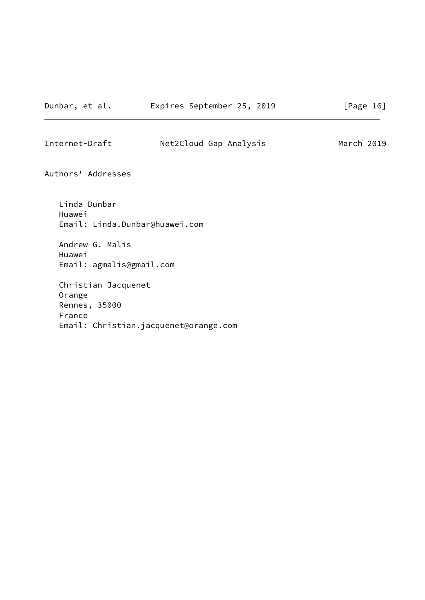Internet-Draft Net2Cloud Gap Analysis March 2019

Authors' Addresses

 Linda Dunbar Huawei Email: Linda.Dunbar@huawei.com Andrew G. Malis Huawei Email: agmalis@gmail.com Christian Jacquenet Orange Rennes, 35000 France

Email: Christian.jacquenet@orange.com